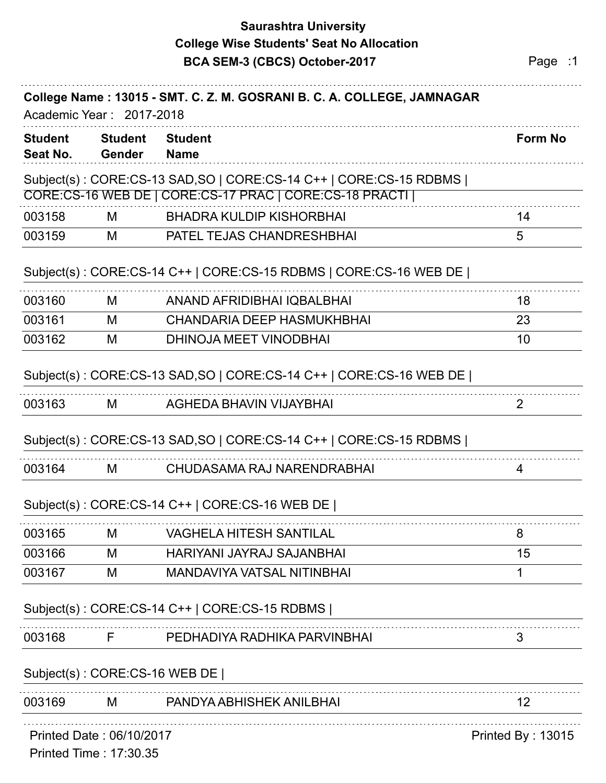# **Saurashtra University BCA SEM-3 (CBCS) October-2017** Page :1 **College Wise Students' Seat No Allocation**

| <b>Student</b><br>Seat No. | <b>Student</b><br><b>Gender</b>                    | <b>Student</b><br><b>Name</b>                                       | <b>Form No</b>    |
|----------------------------|----------------------------------------------------|---------------------------------------------------------------------|-------------------|
|                            |                                                    | Subject(s): CORE:CS-13 SAD,SO   CORE:CS-14 C++   CORE:CS-15 RDBMS   |                   |
|                            |                                                    | CORE:CS-16 WEB DE   CORE:CS-17 PRAC   CORE:CS-18 PRACTI             |                   |
| 003158                     | M                                                  | <b>BHADRA KULDIP KISHORBHAI</b>                                     | 14                |
| 003159                     | M                                                  | PATEL TEJAS CHANDRESHBHAI                                           | 5                 |
|                            |                                                    | Subject(s): CORE:CS-14 C++   CORE:CS-15 RDBMS   CORE:CS-16 WEB DE   |                   |
| 003160                     | М                                                  | ANAND AFRIDIBHAI IQBALBHAI                                          | 18                |
| 003161                     | M                                                  | <b>CHANDARIA DEEP HASMUKHBHAI</b>                                   | 23                |
| 003162                     | M                                                  | DHINOJA MEET VINODBHAI                                              | 10                |
|                            |                                                    | Subject(s): CORE:CS-13 SAD, SO   CORE:CS-14 C++   CORE:CS-16 WEB DE |                   |
| 003163                     | М                                                  | AGHEDA BHAVIN VIJAYBHAI                                             | 2                 |
|                            |                                                    | Subject(s): CORE:CS-13 SAD, SO   CORE:CS-14 C++   CORE:CS-15 RDBMS  |                   |
| 003164                     | М                                                  | CHUDASAMA RAJ NARENDRABHAI                                          | 4                 |
|                            |                                                    | Subject(s): CORE:CS-14 C++   CORE:CS-16 WEB DE                      |                   |
| 003165                     | М                                                  | <b>VAGHELA HITESH SANTILAL</b>                                      | 8                 |
| 003166                     | M                                                  | HARIYANI JAYRAJ SAJANBHAI                                           | 15                |
| 003167                     | M                                                  | <b>MANDAVIYA VATSAL NITINBHAI</b>                                   |                   |
|                            |                                                    | Subject(s): CORE:CS-14 C++   CORE:CS-15 RDBMS                       |                   |
| 003168                     | F                                                  | PEDHADIYA RADHIKA PARVINBHAI                                        | 3                 |
|                            | Subject(s): CORE:CS-16 WEB DE                      |                                                                     |                   |
| 003169                     | M                                                  | PANDYA ABHISHEK ANILBHAI                                            | 12 <sup>2</sup>   |
|                            | Printed Date: 06/10/2017<br>Printed Time: 17:30.35 |                                                                     | Printed By: 13015 |